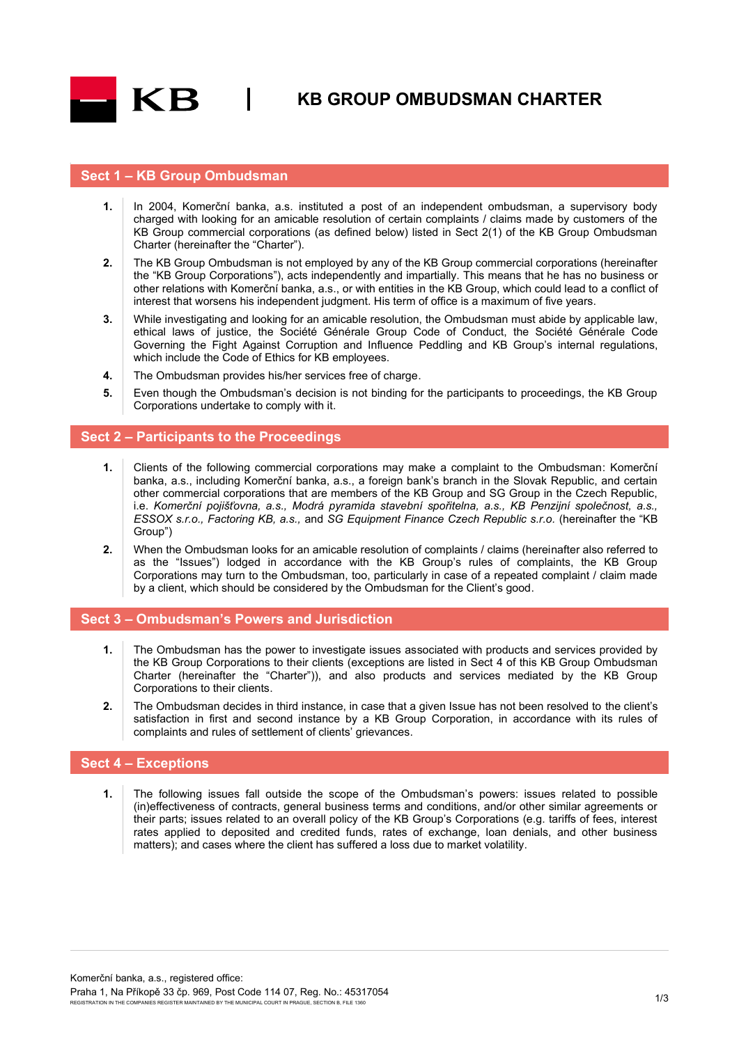

**KB GROUP OMBUDSMAN CHARTER**

### **Sect 1 – KB Group Ombudsman**

- **1.** In 2004, Komerční banka, a.s. instituted a post of an independent ombudsman, a supervisory body charged with looking for an amicable resolution of certain complaints / claims made by customers of the KB Group commercial corporations (as defined below) listed in Sect 2(1) of the KB Group Ombudsman Charter (hereinafter the "Charter").
- **2.** The KB Group Ombudsman is not employed by any of the KB Group commercial corporations (hereinafter the "KB Group Corporations"), acts independently and impartially. This means that he has no business or other relations with Komerční banka, a.s., or with entities in the KB Group, which could lead to a conflict of interest that worsens his independent judgment. His term of office is a maximum of five years.
- **3.** While investigating and looking for an amicable resolution, the Ombudsman must abide by applicable law, ethical laws of justice, the Société Générale Group Code of Conduct, the Société Générale Code Governing the Fight Against Corruption and Influence Peddling and KB Group's internal regulations, which include the Code of Ethics for KB employees.
- **4.** The Ombudsman provides his/her services free of charge.
- **5.** Even though the Ombudsman's decision is not binding for the participants to proceedings, the KB Group Corporations undertake to comply with it.

#### **Sect 2 – Participants to the Proceedings**

- **1.** Clients of the following commercial corporations may make a complaint to the Ombudsman: Komerční banka, a.s., including Komerční banka, a.s., a foreign bank's branch in the Slovak Republic, and certain other commercial corporations that are members of the KB Group and SG Group in the Czech Republic, i.e. *Komerční pojišťovna, a.s., Modrá pyramida stavební spořitelna, a.s., KB Penzijní společnost, a.s., ESSOX s.r.o., Factoring KB, a.s.,* and *SG Equipment Finance Czech Republic s.r.o.* (hereinafter the "KB Group")
- **2.** When the Ombudsman looks for an amicable resolution of complaints / claims (hereinafter also referred to as the "Issues") lodged in accordance with the KB Group's rules of complaints, the KB Group Corporations may turn to the Ombudsman, too, particularly in case of a repeated complaint / claim made by a client, which should be considered by the Ombudsman for the Client's good.

#### **Sect 3 – Ombudsman's Powers and Jurisdiction**

- **1.** The Ombudsman has the power to investigate issues associated with products and services provided by the KB Group Corporations to their clients (exceptions are listed in Sect 4 of this KB Group Ombudsman Charter (hereinafter the "Charter")), and also products and services mediated by the KB Group Corporations to their clients.
- **2.** The Ombudsman decides in third instance, in case that a given Issue has not been resolved to the client's satisfaction in first and second instance by a KB Group Corporation, in accordance with its rules of complaints and rules of settlement of clients' grievances.

#### **Sect 4 – Exceptions**

**1.** The following issues fall outside the scope of the Ombudsman's powers: issues related to possible (in)effectiveness of contracts, general business terms and conditions, and/or other similar agreements or their parts; issues related to an overall policy of the KB Group's Corporations (e.g. tariffs of fees, interest rates applied to deposited and credited funds, rates of exchange, loan denials, and other business matters); and cases where the client has suffered a loss due to market volatility.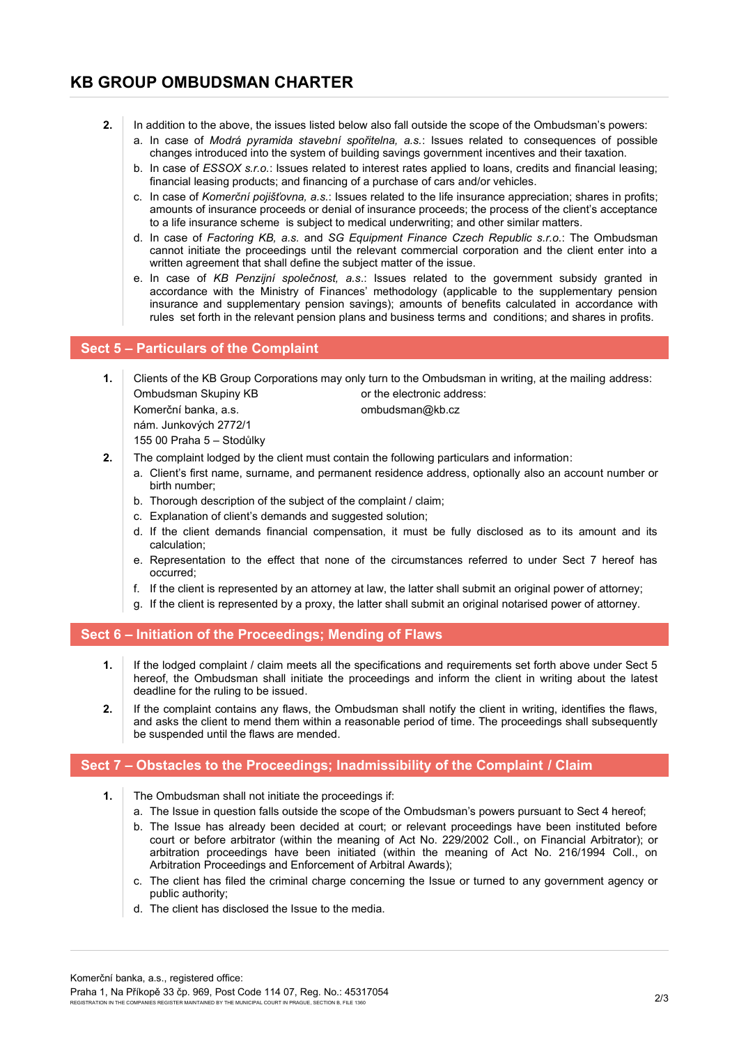- **2.** In addition to the above, the issues listed below also fall outside the scope of the Ombudsman's powers:
	- a. In case of *Modrá pyramida stavební spořitelna, a.s.*: Issues related to consequences of possible changes introduced into the system of building savings government incentives and their taxation.
	- b. In case of *ESSOX s.r.o.*: Issues related to interest rates applied to loans, credits and financial leasing; financial leasing products; and financing of a purchase of cars and/or vehicles.
	- c. In case of *Komerční pojišťovna, a.s.*: Issues related to the life insurance appreciation; shares in profits; amounts of insurance proceeds or denial of insurance proceeds; the process of the client's acceptance to a life insurance scheme is subject to medical underwriting; and other similar matters.
	- d. In case of *Factoring KB, a.s.* and *SG Equipment Finance Czech Republic s.r.o.*: The Ombudsman cannot initiate the proceedings until the relevant commercial corporation and the client enter into a written agreement that shall define the subject matter of the issue.
	- e. In case of *KB Penzijní společnost, a.s*.: Issues related to the government subsidy granted in accordance with the Ministry of Finances' methodology (applicable to the supplementary pension insurance and supplementary pension savings); amounts of benefits calculated in accordance with rules set forth in the relevant pension plans and business terms and conditions; and shares in profits.

# **Sect 5 – Particulars of the Complaint**

- **1.** Clients of the KB Group Corporations may only turn to the Ombudsman in writing, at the mailing address: Ombudsman Skupiny KB or the electronic address: Komerční banka, a.s. combudsman@kb.cz nám. Junkových 2772/1 155 00 Praha 5 – Stodůlky **2.** The complaint lodged by the client must contain the following particulars and information:
	- a. Client's first name, surname, and permanent residence address, optionally also an account number or birth number;
	- b. Thorough description of the subject of the complaint / claim;
	- c. Explanation of client's demands and suggested solution;
	- d. If the client demands financial compensation, it must be fully disclosed as to its amount and its calculation;
	- e. Representation to the effect that none of the circumstances referred to under Sect 7 hereof has occurred;
	- f. If the client is represented by an attorney at law, the latter shall submit an original power of attorney;
	- g. If the client is represented by a proxy, the latter shall submit an original notarised power of attorney.

## **Sect 6 – Initiation of the Proceedings; Mending of Flaws**

- **1.** If the lodged complaint / claim meets all the specifications and requirements set forth above under Sect 5 hereof, the Ombudsman shall initiate the proceedings and inform the client in writing about the latest deadline for the ruling to be issued.
- **2.** If the complaint contains any flaws, the Ombudsman shall notify the client in writing, identifies the flaws, and asks the client to mend them within a reasonable period of time. The proceedings shall subsequently be suspended until the flaws are mended.

# **Sect 7 – Obstacles to the Proceedings; Inadmissibility of the Complaint / Claim**

- **1.** The Ombudsman shall not initiate the proceedings if:
	- a. The Issue in question falls outside the scope of the Ombudsman's powers pursuant to Sect 4 hereof;
	- b. The Issue has already been decided at court; or relevant proceedings have been instituted before court or before arbitrator (within the meaning of Act No. 229/2002 Coll., on Financial Arbitrator); or arbitration proceedings have been initiated (within the meaning of Act No. 216/1994 Coll., on Arbitration Proceedings and Enforcement of Arbitral Awards);
	- c. The client has filed the criminal charge concerning the Issue or turned to any government agency or public authority;
	- d. The client has disclosed the Issue to the media.